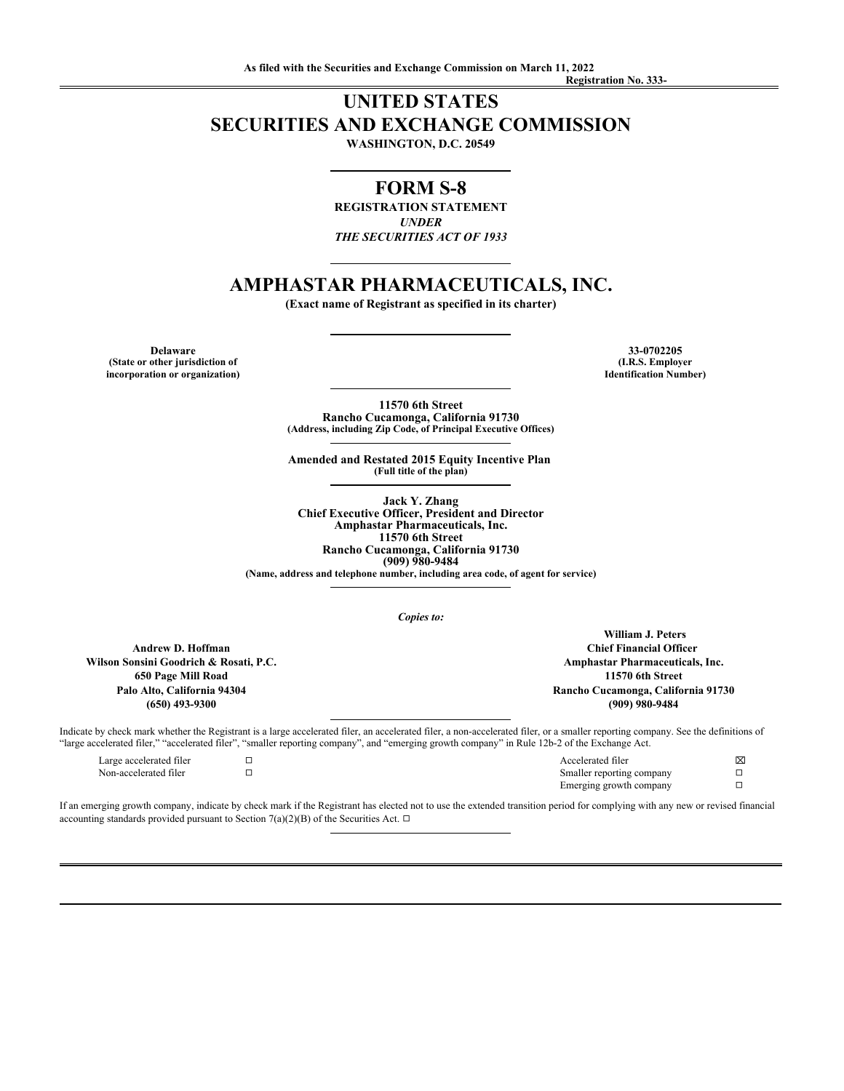## **UNITED STATES SECURITIES AND EXCHANGE COMMISSION WASHINGTON, D.C. 20549**

## **FORM S-8**

**REGISTRATION STATEMENT** *UNDER THE SECURITIES ACT OF 1933*

# **AMPHASTAR PHARMACEUTICALS, INC.**

**(Exact name of Registrant as specified in its charter)**

**(State or other jurisdiction of incorporation or organization)**

**Delaware 33-0702205 (I.R.S. Employer Identification Number)**

> **11570 6th Street Rancho Cucamonga, California 91730 (Address, including Zip Code, of Principal Executive Offices)**

**Amended and Restated 2015 Equity Incentive Plan (Full title of the plan)**

**Jack Y. Zhang Chief Executive Officer, President and Director Amphastar Pharmaceuticals, Inc. 11570 6th Street Rancho Cucamonga, California 91730 (909) 980-9484**

**(Name, address and telephone number, including area code, of agent for service)**

*Copies to:*

**Andrew D. Hoffman Wilson Sonsini Goodrich & Rosati, P.C. 650 Page Mill Road Palo Alto, California 94304 (650) 493-9300**

**William J. Peters Chief Financial Officer Amphastar Pharmaceuticals, Inc. 11570 6th Street Rancho Cucamonga, California 91730 (909) 980-9484**

Indicate by check mark whether the Registrant is a large accelerated filer, an accelerated filer, a non-accelerated filer, or a smaller reporting company. See the definitions of "large accelerated filer," "accelerated filer", "smaller reporting company", and "emerging growth company" in Rule 12b-2 of the Exchange Act.

| accelerated file.     | Accelerated filer                          | ⊠ |
|-----------------------|--------------------------------------------|---|
| √on-accelerated filer | ereporting company<br>lor ronc<br>Smaller. |   |
|                       | Emerging growth company<br>$\tilde{}$      |   |

If an emerging growth company, indicate by check mark if the Registrant has elected not to use the extended transition period for complying with any new or revised financial accounting standards provided pursuant to Section 7(a)(2)(B) of the Securities Act.  $\Box$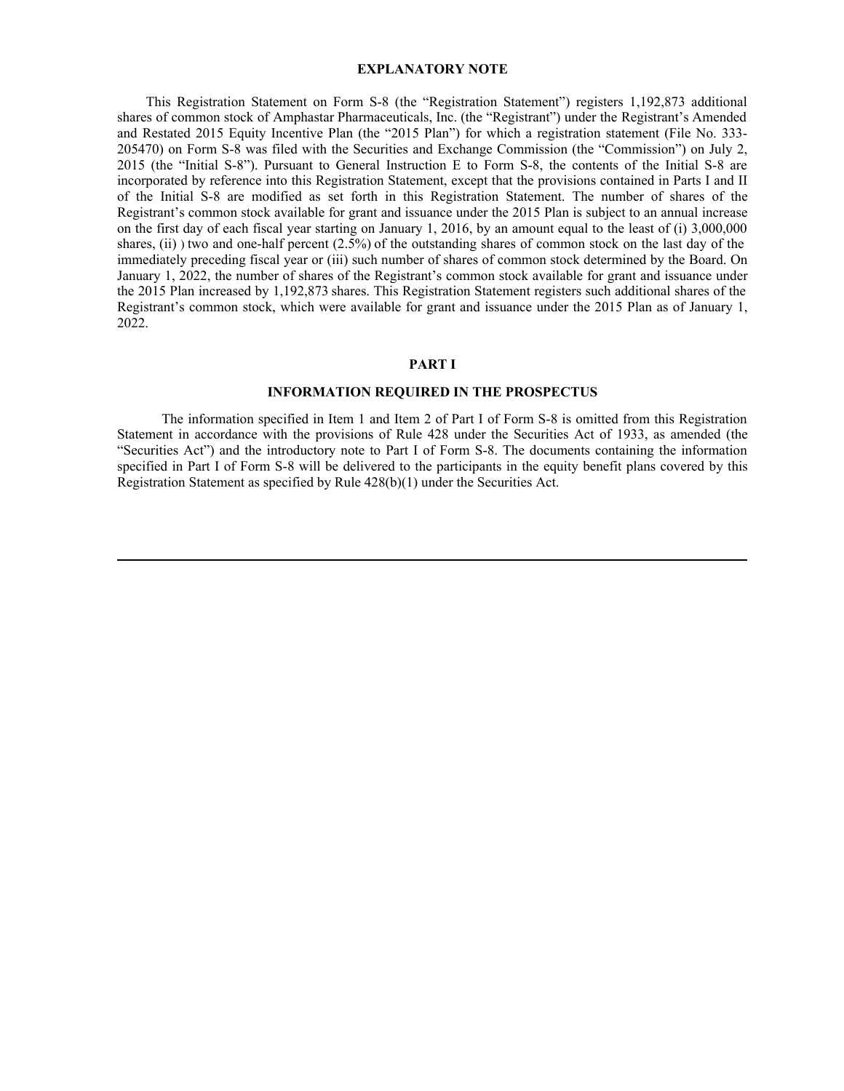#### **EXPLANATORY NOTE**

**EXPLANATORY NOTE**<br>This Registration Statement on Form S-8 (the "Registration Statement") registers 1,192,873 additional<br>s of common stock of Amphastar Pharmaceuticals, Inc. (the "Registrant") under the Registrant's Amende shares of common stock of Amphastar Pharmaceuticals, Inc. (the "Registrant") under the Registrant's Amended and Restated 2015 Equity Incentive Plan (the "2015 Plan") for which a registration statement (File No. 333- 205470) on Form S-8 was filed with the Securities and Exchange Commission (the "Commission") on July 2, **EXPLANATORY NOTE**<br> **EXPLANATORY NOTE**<br>
This Registration Statement on Form S-8 (the "Registration Statement") negisters 1,192,873 additional<br>
shares of common stock of Amphastar Pharmaceuticals, In.c. (the "Registrant") u incorporated by reference into this Registration Statement, except that the provisions contained in Parts I and II **EXPLANATORY NOTE**<br>
This Registration Statement on Form S-8 (the "Registration Statement") registers 1,192,873 additional<br>
shares of common stock of Amphastar Pharmaceuticals, Inc. (the "Registrant") under the Registrant"s Registrant's common stock available for grant and issuance under the 2015 Plan is subject to an annual increase on the first day of each fiscal year starting on January 1, 2016, by an amount equal to the least of (i) 3,000,000 shares, (ii) ) two and one-half percent (2.5%) of the outstanding shares of common stock on the last day of the immediately preceding fiscal year or (iii) such number of shares of common stock determined by the Board. On January 1, 2022, the number of shares of the Registrant's common stock available for grant and issuance under the 2015 Plan increased by 1,192,873 shares. This Registration Statement registers such additional shares of the Registrant's common stock, which were available for grant and issuance under the 2015 Plan as of January 1, 2022. **EXPLANATORY NOTE**<br>
This Registration Statement on Form S-8 (the "Registration Statement") registers 1,192,873 additional<br>
shares of common stock of Amphastar Pharmacentrals, Inc. (the "Actionary order the Registrant") sh

### **PART I**

#### **INFORMATION REQUIRED IN THE PROSPECTUS**

The information specified in Item 1 and Item 2 of Part I of Form S-8 is omitted from this Registration Statement in accordance with the provisions of Rule 428 under the Securities Act of 1933, as amended (the "Securities Act") and the introductory note to Part I of Form S-8. The documents containing the information specified in Part I of Form S-8 will be delivered to the participants in the equity benefit plans covered by this Registration Statement as specified by Rule 428(b)(1) under the Securities Act.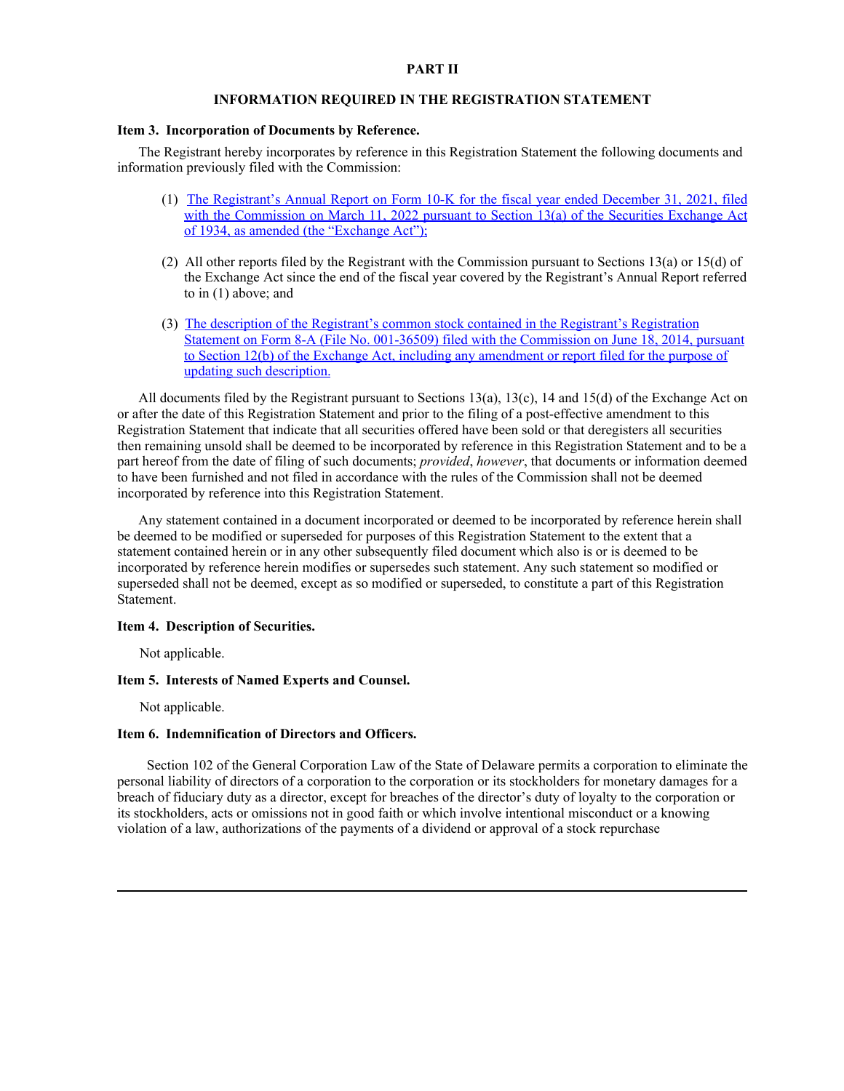#### **PART II**

## **INFORMATION REQUIRED IN THE REGISTRATION STATEMENT**

#### **Item 3. Incorporation of Documents by Reference.**

The Registrant hereby incorporates by reference in this Registration Statement the following documents and information previously filed with the Commission:

- (1) [The Registrant's Annual Report on Form 10-K for the fiscal year ended December 31, 2021, filed](https://content.edgar-online.com/ExternalLink/EDGAR/0001297184-22-000007.html?hash=3be7f9d70caa061c5e481f56e55f166d26561b4644740ff55f7f50ba698df355&dest=amph-20211231x10k_htm) [with the Commission on March 11, 2022 pursuant to Section 13\(a\) of the Securities Exchange Act](https://content.edgar-online.com/ExternalLink/EDGAR/0001297184-22-000007.html?hash=3be7f9d70caa061c5e481f56e55f166d26561b4644740ff55f7f50ba698df355&dest=amph-20211231x10k_htm) [of 1934, as amended \(the "Exchange Act"\);](https://content.edgar-online.com/ExternalLink/EDGAR/0001297184-22-000007.html?hash=3be7f9d70caa061c5e481f56e55f166d26561b4644740ff55f7f50ba698df355&dest=amph-20211231x10k_htm)
- (2) All other reports filed by the Registrant with the Commission pursuant to Sections 13(a) or 15(d) of the Exchange Act since the end of the fiscal year covered by the Registrant's Annual Report referred to in (1) above; and
- (3) [The description of the Registrant's common stock contained in the Registrant's Registration](https://content.edgar-online.com/ExternalLink/EDGAR/0001104659-14-046607.html?hash=a854dee51ed141420c96fa2098ef5fade954c4e30934db46791ff1aacecc385a&dest=a12-26441_108a12b_htm) [Statement on Form 8-A \(File No. 001-36509\) filed with the Commission on June 18, 2014, pursuant](https://content.edgar-online.com/ExternalLink/EDGAR/0001104659-14-046607.html?hash=a854dee51ed141420c96fa2098ef5fade954c4e30934db46791ff1aacecc385a&dest=a12-26441_108a12b_htm) [to Section 12\(b\) of the Exchange Act, including any amendment or report filed for the purpose of](https://content.edgar-online.com/ExternalLink/EDGAR/0001104659-14-046607.html?hash=a854dee51ed141420c96fa2098ef5fade954c4e30934db46791ff1aacecc385a&dest=a12-26441_108a12b_htm) [updating such description.](https://content.edgar-online.com/ExternalLink/EDGAR/0001104659-14-046607.html?hash=a854dee51ed141420c96fa2098ef5fade954c4e30934db46791ff1aacecc385a&dest=a12-26441_108a12b_htm)

All documents filed by the Registrant pursuant to Sections 13(a), 13(c), 14 and 15(d) of the Exchange Act on or after the date of this Registration Statement and prior to the filing of a post-effective amendment to this Registration Statement that indicate that all securities offered have been sold or that deregisters all securities then remaining unsold shall be deemed to be incorporated by reference in this Registration Statement and to be a part hereof from the date of filing of such documents; *provided*, *however*, that documents or information deemed to have been furnished and not filed in accordance with the rules of the Commission shall not be deemed incorporated by reference into this Registration Statement.

Any statement contained in a document incorporated or deemed to be incorporated by reference herein shall be deemed to be modified or superseded for purposes of this Registration Statement to the extent that a statement contained herein or in any other subsequently filed document which also is or is deemed to be incorporated by reference herein modifies or supersedes such statement. Any such statement so modified or superseded shall not be deemed, except as so modified or superseded, to constitute a part of this Registration Statement.

#### **Item 4. Description of Securities.**

Not applicable.

## **Item 5. Interests of Named Experts and Counsel.**

Not applicable.

### **Item 6. Indemnification of Directors and Officers.**

Section 102 of the General Corporation Law of the State of Delaware permits a corporation to eliminate the personal liability of directors of a corporation to the corporation or its stockholders for monetary damages for a breach of fiduciary duty as a director, except for breaches of the director's duty of loyalty to the corporation or its stockholders, acts or omissions not in good faith or which involve intentional misconduct or a knowing violation of a law, authorizations of the payments of a dividend or approval of a stock repurchase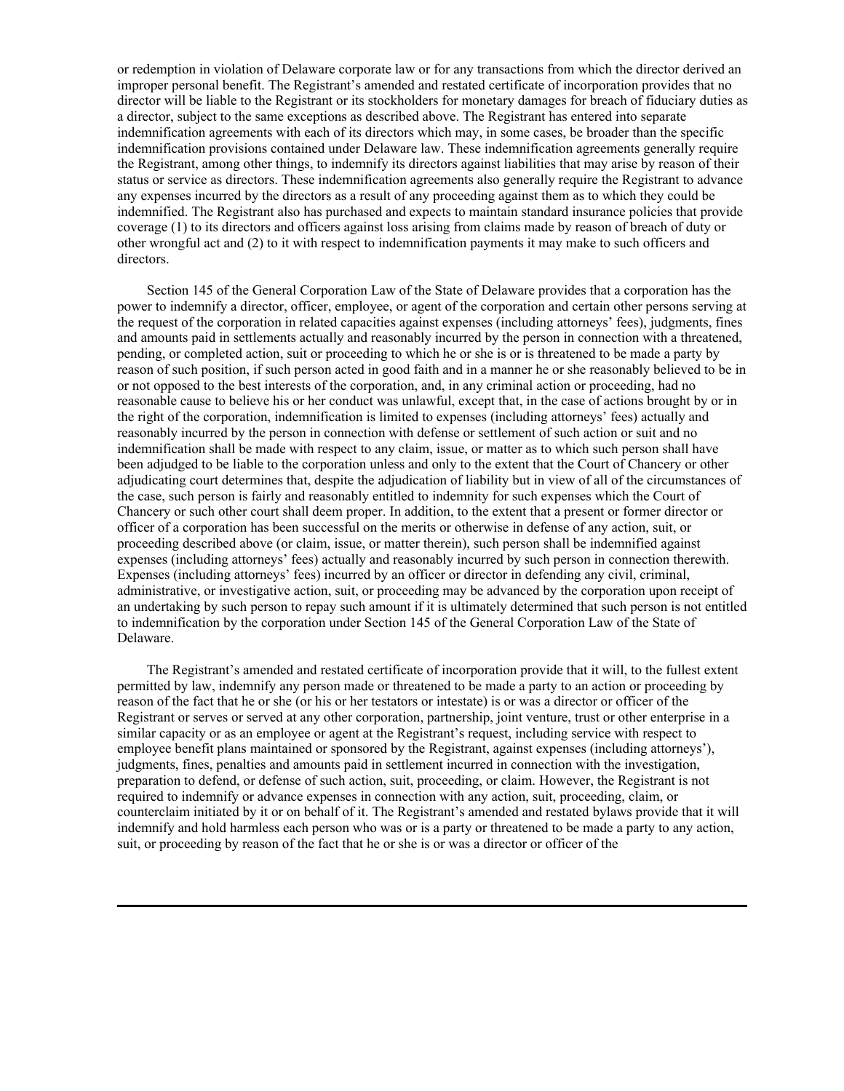or redemption in violation of Delaware corporate law or for any transactions from which the director derived an improper personal benefit. The Registrant's amended and restated certificate of incorporation provides that no director will be liable to the Registrant or its stockholders for monetary damages for breach of fiduciary duties as a director, subject to the same exceptions as described above. The Registrant has entered into separate indemnification agreements with each of its directors which may, in some cases, be broader than the specific indemnification provisions contained under Delaware law. These indemnification agreements generally require the Registrant, among other things, to indemnify its directors against liabilities that may arise by reason of their status or service as directors. These indemnification agreements also generally require the Registrant to advance any expenses incurred by the directors as a result of any proceeding against them as to which they could be indemnified. The Registrant also has purchased and expects to maintain standard insurance policies that provide coverage (1) to its directors and officers against loss arising from claims made by reason of breach of duty or other wrongful act and (2) to it with respect to indemnification payments it may make to such officers and directors.

Section 145 of the General Corporation Law of the State of Delaware provides that a corporation has the power to indemnify a director, officer, employee, or agent of the corporation and certain other persons serving at the request of the corporation in related capacities against expenses (including attorneys' fees), judgments, fines and amounts paid in settlements actually and reasonably incurred by the person in connection with a threatened, pending, or completed action, suit or proceeding to which he or she is or is threatened to be made a party by reason of such position, if such person acted in good faith and in a manner he or she reasonably believed to be in or not opposed to the best interests of the corporation, and, in any criminal action or proceeding, had no reasonable cause to believe his or her conduct was unlawful, except that, in the case of actions brought by or in the right of the corporation, indemnification is limited to expenses (including attorneys' fees) actually and reasonably incurred by the person in connection with defense or settlement of such action or suit and no indemnification shall be made with respect to any claim, issue, or matter as to which such person shall have been adjudged to be liable to the corporation unless and only to the extent that the Court of Chancery or other adjudicating court determines that, despite the adjudication of liability but in view of all of the circumstances of the case, such person is fairly and reasonably entitled to indemnity for such expenses which the Court of Chancery or such other court shall deem proper. In addition, to the extent that a present or former director or officer of a corporation has been successful on the merits or otherwise in defense of any action, suit, or proceeding described above (or claim, issue, or matter therein), such person shall be indemnified against expenses (including attorneys' fees) actually and reasonably incurred by such person in connection therewith. Expenses (including attorneys' fees) incurred by an officer or director in defending any civil, criminal, administrative, or investigative action, suit, or proceeding may be advanced by the corporation upon receipt of an undertaking by such person to repay such amount if it is ultimately determined that such person is not entitled to indemnification by the corporation under Section 145 of the General Corporation Law of the State of Delaware.

The Registrant's amended and restated certificate of incorporation provide that it will, to the fullest extent permitted by law, indemnify any person made or threatened to be made a party to an action or proceeding by reason of the fact that he or she (or his or her testators or intestate) is or was a director or officer of the Registrant or serves or served at any other corporation, partnership, joint venture, trust or other enterprise in a similar capacity or as an employee or agent at the Registrant's request, including service with respect to employee benefit plans maintained or sponsored by the Registrant, against expenses (including attorneys'), judgments, fines, penalties and amounts paid in settlement incurred in connection with the investigation, preparation to defend, or defense of such action, suit, proceeding, or claim. However, the Registrant is not required to indemnify or advance expenses in connection with any action, suit, proceeding, claim, or counterclaim initiated by it or on behalf of it. The Registrant's amended and restated bylaws provide that it will indemnify and hold harmless each person who was or is a party or threatened to be made a party to any action, suit, or proceeding by reason of the fact that he or she is or was a director or officer of the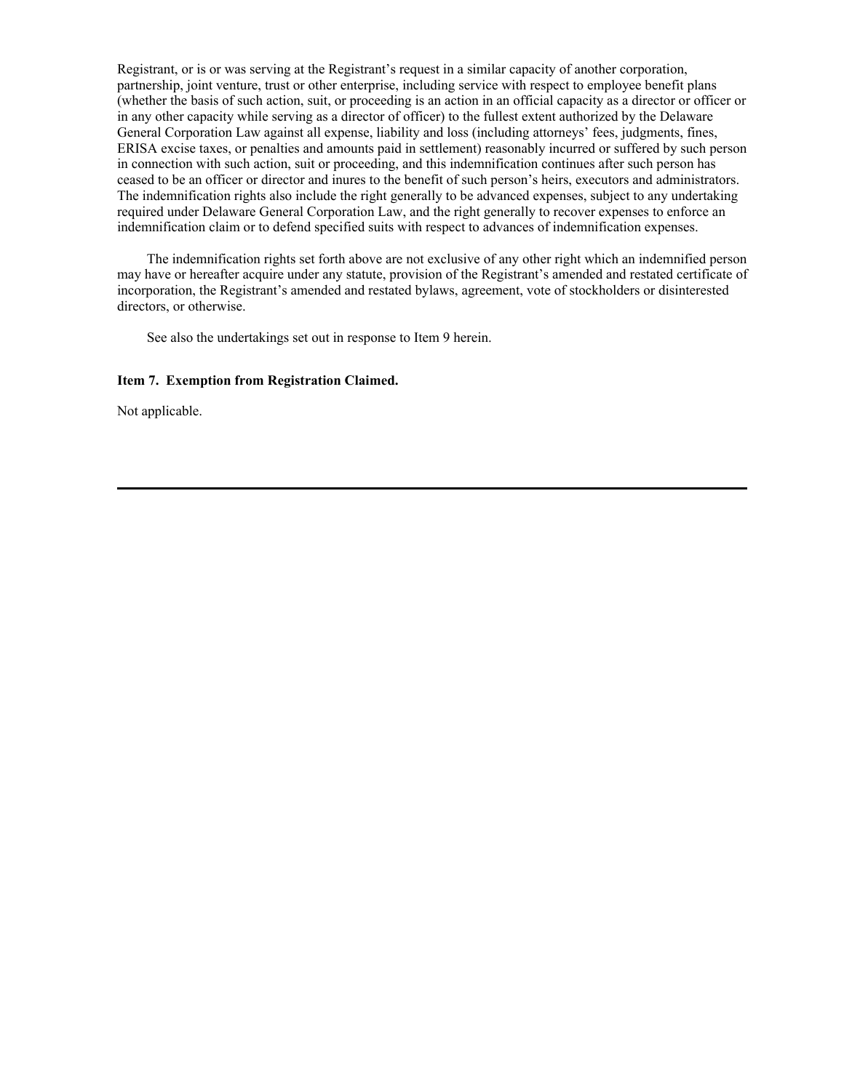Registrant, or is or was serving at the Registrant's request in a similar capacity of another corporation, partnership, joint venture, trust or other enterprise, including service with respect to employee benefit plans (whether the basis of such action, suit, or proceeding is an action in an official capacity as a director or officer or in any other capacity while serving as a director of officer) to the fullest extent authorized by the Delaware General Corporation Law against all expense, liability and loss (including attorneys' fees, judgments, fines, ERISA excise taxes, or penalties and amounts paid in settlement) reasonably incurred or suffered by such person in connection with such action, suit or proceeding, and this indemnification continues after such person has ceased to be an officer or director and inures to the benefit of such person's heirs, executors and administrators. The indemnification rights also include the right generally to be advanced expenses, subject to any undertaking required under Delaware General Corporation Law, and the right generally to recover expenses to enforce an indemnification claim or to defend specified suits with respect to advances of indemnification expenses.

The indemnification rights set forth above are not exclusive of any other right which an indemnified person may have or hereafter acquire under any statute, provision of the Registrant's amended and restated certificate of incorporation, the Registrant's amended and restated bylaws, agreement, vote of stockholders or disinterested directors, or otherwise.

See also the undertakings set out in response to Item 9 herein.

### **Item 7. Exemption from Registration Claimed.**

Not applicable.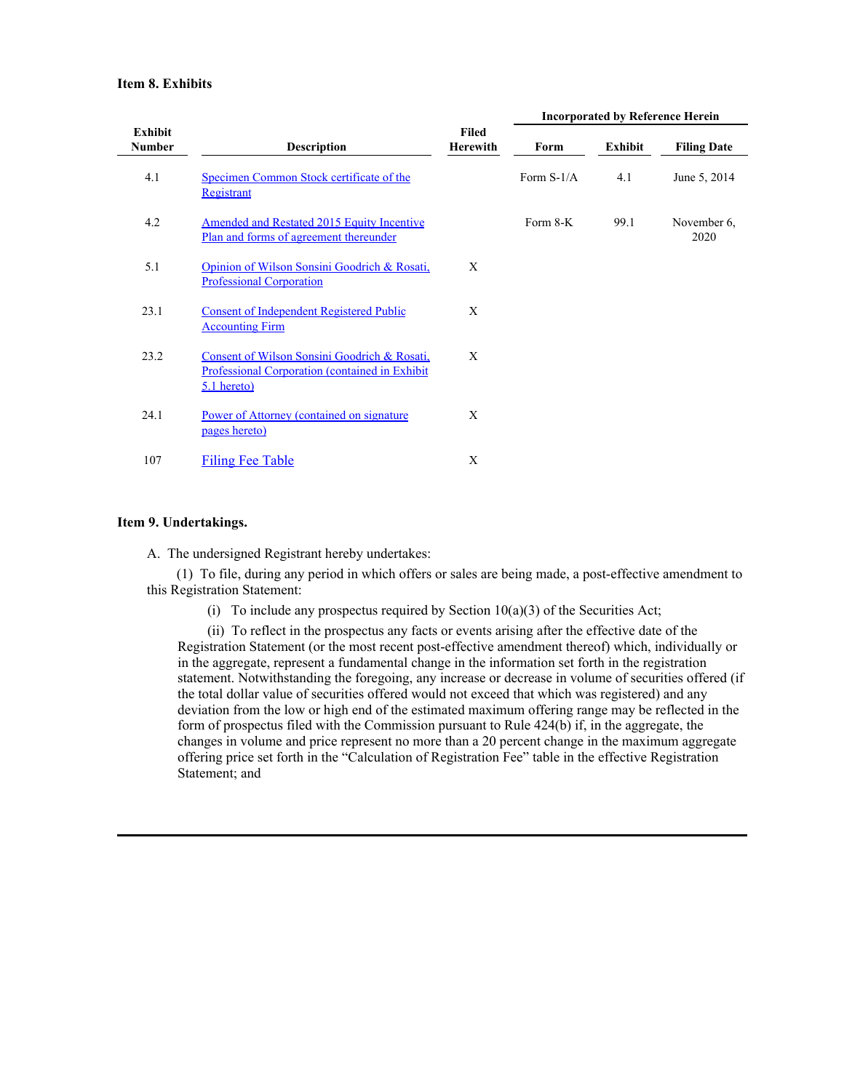### **Item 8. Exhibits**

|                          |                                                                                                                 |                          | <b>Incorporated by Reference Herein</b> |         |                     |  |
|--------------------------|-----------------------------------------------------------------------------------------------------------------|--------------------------|-----------------------------------------|---------|---------------------|--|
| Exhibit<br><b>Number</b> | <b>Description</b>                                                                                              | Filed<br><b>Herewith</b> | Form                                    | Exhibit | <b>Filing Date</b>  |  |
| 4.1                      | Specimen Common Stock certificate of the<br>Registrant                                                          |                          | Form $S-1/A$                            | 4.1     | June 5, 2014        |  |
| 4.2                      | <b>Amended and Restated 2015 Equity Incentive</b><br>Plan and forms of agreement thereunder                     |                          | Form 8-K                                | 99.1    | November 6,<br>2020 |  |
| 5.1                      | Opinion of Wilson Sonsini Goodrich & Rosati,<br><b>Professional Corporation</b>                                 | X                        |                                         |         |                     |  |
| 23.1                     | <b>Consent of Independent Registered Public</b><br><b>Accounting Firm</b>                                       | X                        |                                         |         |                     |  |
| 23.2                     | Consent of Wilson Sonsini Goodrich & Rosati,<br>Professional Corporation (contained in Exhibit<br>$5.1$ hereto) | X                        |                                         |         |                     |  |
| 24.1                     | Power of Attorney (contained on signature<br>pages hereto)                                                      | X                        |                                         |         |                     |  |
| 107                      | <b>Filing Fee Table</b>                                                                                         | X                        |                                         |         |                     |  |

## **Item 9. Undertakings.**

A. The undersigned Registrant hereby undertakes:

(1) To file, during any period in which offers or sales are being made, a post-effective amendment to this Registration Statement:

(i) To include any prospectus required by Section  $10(a)(3)$  of the Securities Act;

(ii) To reflect in the prospectus any facts or events arising after the effective date of the Registration Statement (or the most recent post-effective amendment thereof) which, individually or in the aggregate, represent a fundamental change in the information set forth in the registration statement. Notwithstanding the foregoing, any increase or decrease in volume of securities offered (if the total dollar value of securities offered would not exceed that which was registered) and any deviation from the low or high end of the estimated maximum offering range may be reflected in the form of prospectus filed with the Commission pursuant to Rule 424(b) if, in the aggregate, the changes in volume and price represent no more than a 20 percent change in the maximum aggregate offering price set forth in the "Calculation of Registration Fee" table in the effective Registration Statement; and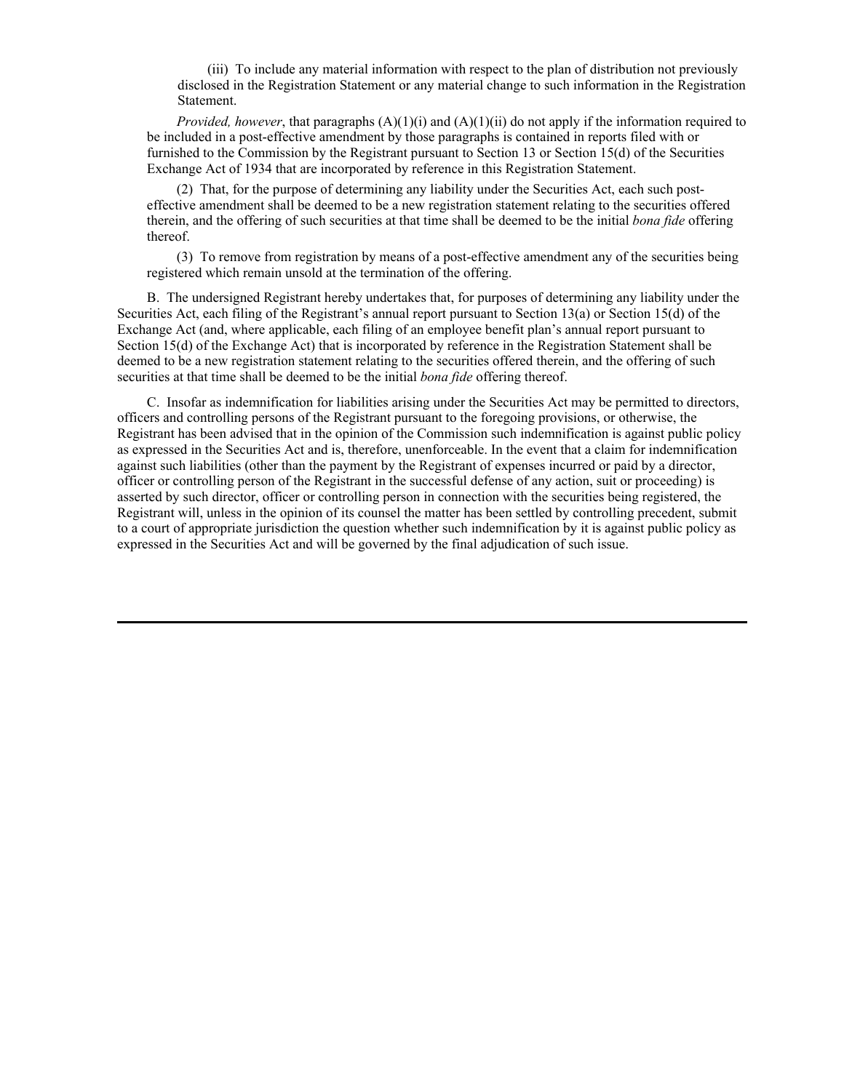(iii) To include any material information with respect to the plan of distribution not previously disclosed in the Registration Statement or any material change to such information in the Registration Statement.

*Provided, however*, that paragraphs (A)(1)(i) and (A)(1)(ii) do not apply if the information required to be included in a post-effective amendment by those paragraphs is contained in reports filed with or furnished to the Commission by the Registrant pursuant to Section 13 or Section 15(d) of the Securities Exchange Act of 1934 that are incorporated by reference in this Registration Statement.

(2) That, for the purpose of determining any liability under the Securities Act, each such posteffective amendment shall be deemed to be a new registration statement relating to the securities offered therein, and the offering of such securities at that time shall be deemed to be the initial *bona fide* offering thereof.

(3) To remove from registration by means of a post-effective amendment any of the securities being registered which remain unsold at the termination of the offering.

B. The undersigned Registrant hereby undertakes that, for purposes of determining any liability under the Securities Act, each filing of the Registrant's annual report pursuant to Section 13(a) or Section 15(d) of the Exchange Act (and, where applicable, each filing of an employee benefit plan's annual report pursuant to Section 15(d) of the Exchange Act) that is incorporated by reference in the Registration Statement shall be deemed to be a new registration statement relating to the securities offered therein, and the offering of such securities at that time shall be deemed to be the initial *bona fide* offering thereof.

C. Insofar as indemnification for liabilities arising under the Securities Act may be permitted to directors, officers and controlling persons of the Registrant pursuant to the foregoing provisions, or otherwise, the Registrant has been advised that in the opinion of the Commission such indemnification is against public policy as expressed in the Securities Act and is, therefore, unenforceable. In the event that a claim for indemnification against such liabilities (other than the payment by the Registrant of expenses incurred or paid by a director, officer or controlling person of the Registrant in the successful defense of any action, suit or proceeding) is asserted by such director, officer or controlling person in connection with the securities being registered, the Registrant will, unless in the opinion of its counsel the matter has been settled by controlling precedent, submit to a court of appropriate jurisdiction the question whether such indemnification by it is against public policy as expressed in the Securities Act and will be governed by the final adjudication of such issue.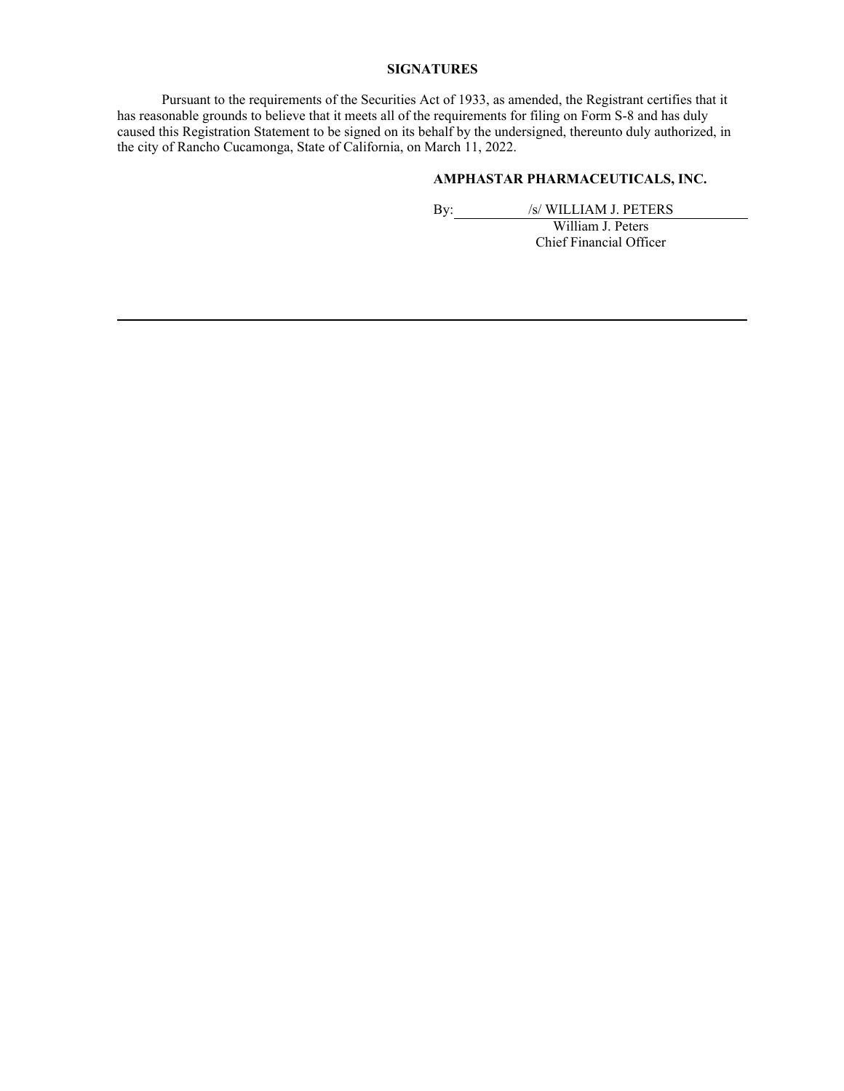## **SIGNATURES**

Pursuant to the requirements of the Securities Act of 1933, as amended, the Registrant certifies that it has reasonable grounds to believe that it meets all of the requirements for filing on Form S-8 and has duly caused this Registration Statement to be signed on its behalf by the undersigned, thereunto duly authorized, in the city of Rancho Cucamonga, State of California, on March 11, 2022.

## **AMPHASTAR PHARMACEUTICALS, INC.**

By: /s/ WILLIAM J. PETERS

William J. Peters Chief Financial Officer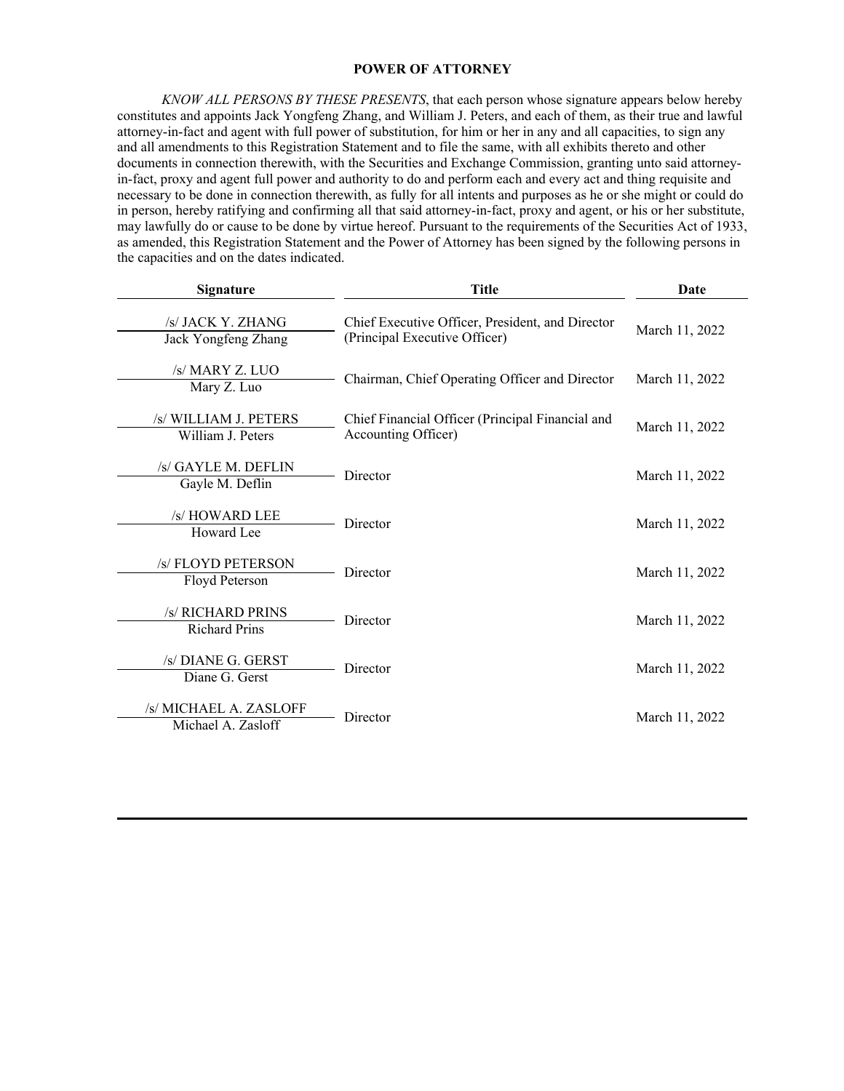## **POWER OF ATTORNEY**

<span id="page-8-0"></span>*KNOW ALL PERSONS BY THESE PRESENTS*, that each person whose signature appears below hereby constitutes and appoints Jack Yongfeng Zhang, and William J. Peters, and each of them, as their true and lawful attorney-in-fact and agent with full power of substitution, for him or her in any and all capacities, to sign any and all amendments to this Registration Statement and to file the same, with all exhibits thereto and other documents in connection therewith, with the Securities and Exchange Commission, granting unto said attorneyin-fact, proxy and agent full power and authority to do and perform each and every act and thing requisite and necessary to be done in connection therewith, as fully for all intents and purposes as he or she might or could do in person, hereby ratifying and confirming all that said attorney-in-fact, proxy and agent, or his or her substitute, may lawfully do or cause to be done by virtue hereof. Pursuant to the requirements of the Securities Act of 1933, as amended, this Registration Statement and the Power of Attorney has been signed by the following persons in the capacities and on the dates indicated.

| <b>Signature</b> |                                              | <b>Title</b>                                                                      | Date           |  |
|------------------|----------------------------------------------|-----------------------------------------------------------------------------------|----------------|--|
|                  | /s/ JACK Y. ZHANG<br>Jack Yongfeng Zhang     | Chief Executive Officer, President, and Director<br>(Principal Executive Officer) | March 11, 2022 |  |
|                  | /s/ MARY Z. LUO<br>Mary Z. Luo               | Chairman, Chief Operating Officer and Director                                    | March 11, 2022 |  |
|                  | /s/ WILLIAM J. PETERS<br>William J. Peters   | Chief Financial Officer (Principal Financial and<br>Accounting Officer)           | March 11, 2022 |  |
|                  | /s/ GAYLE M. DEFLIN<br>Gayle M. Deflin       | Director                                                                          | March 11, 2022 |  |
|                  | /s/ HOWARD LEE<br>Howard Lee                 | Director                                                                          | March 11, 2022 |  |
|                  | /s/ FLOYD PETERSON<br>Floyd Peterson         | Director                                                                          | March 11, 2022 |  |
|                  | /s/ RICHARD PRINS<br><b>Richard Prins</b>    | Director                                                                          | March 11, 2022 |  |
|                  | /s/ DIANE G. GERST<br>Diane G. Gerst         | Director                                                                          | March 11, 2022 |  |
|                  | /s/ MICHAEL A. ZASLOFF<br>Michael A. Zasloff | Director                                                                          | March 11, 2022 |  |
|                  |                                              |                                                                                   |                |  |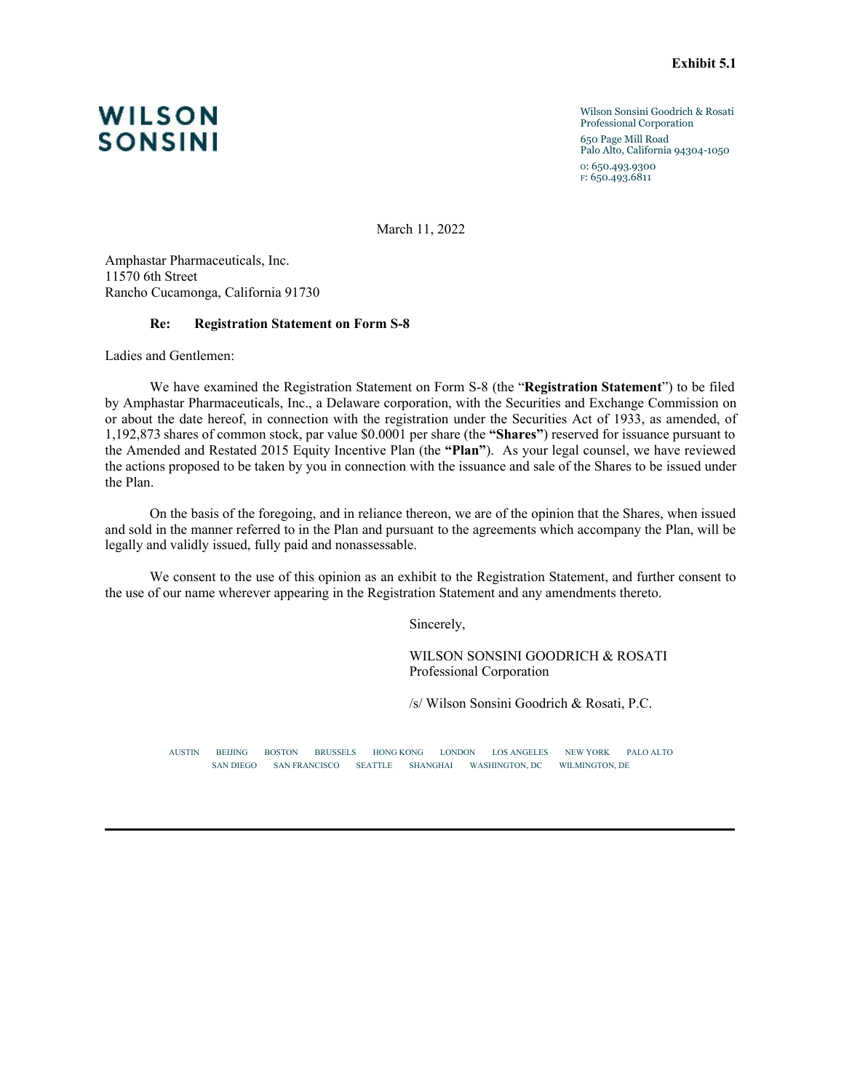Wilson Sonsini Goodrich & Rosati Professional Corporation 650 Page Mill Road Palo Alto, California 94304-1050 o: 650.493.9300 f: 650.493.6811

March 11, 2022

Amphastar Pharmaceuticals, Inc. 11570 6th Street Rancho Cucamonga, California 91730

#### **Re: Registration Statement on Form S-8**

Ladies and Gentlemen:

We have examined the Registration Statement on Form S-8 (the "**Registration Statement**") to be filed by Amphastar Pharmaceuticals, Inc., a Delaware corporation, with the Securities and Exchange Commission on or about the date hereof, in connection with the registration under the Securities Act of 1933, as amended, of 1,192,873 shares of common stock, par value \$0.0001 per share (the **"Shares"**) reserved for issuance pursuant to the Amended and Restated 2015 Equity Incentive Plan (the **"Plan"**). As your legal counsel, we have reviewed the actions proposed to be taken by you in connection with the issuance and sale of the Shares to be issued under the Plan.

On the basis of the foregoing, and in reliance thereon, we are of the opinion that the Shares, when issued and sold in the manner referred to in the Plan and pursuant to the agreements which accompany the Plan, will be legally and validly issued, fully paid and nonassessable.

We consent to the use of this opinion as an exhibit to the Registration Statement, and further consent to the use of our name wherever appearing in the Registration Statement and any amendments thereto.

Sincerely,

WILSON SONSINI GOODRICH & ROSATI Professional Corporation

/s/ Wilson Sonsini Goodrich & Rosati, P.C.

AUSTIN BEIJING BOSTON BRUSSELS HONG KONG LONDON LOS ANGELES NEW YORK PALO ALTO SAN DIEGO SAN FRANCISCO SEATTLE SHANGHAI WASHINGTON, DC WILMINGTON, DE

<span id="page-9-0"></span>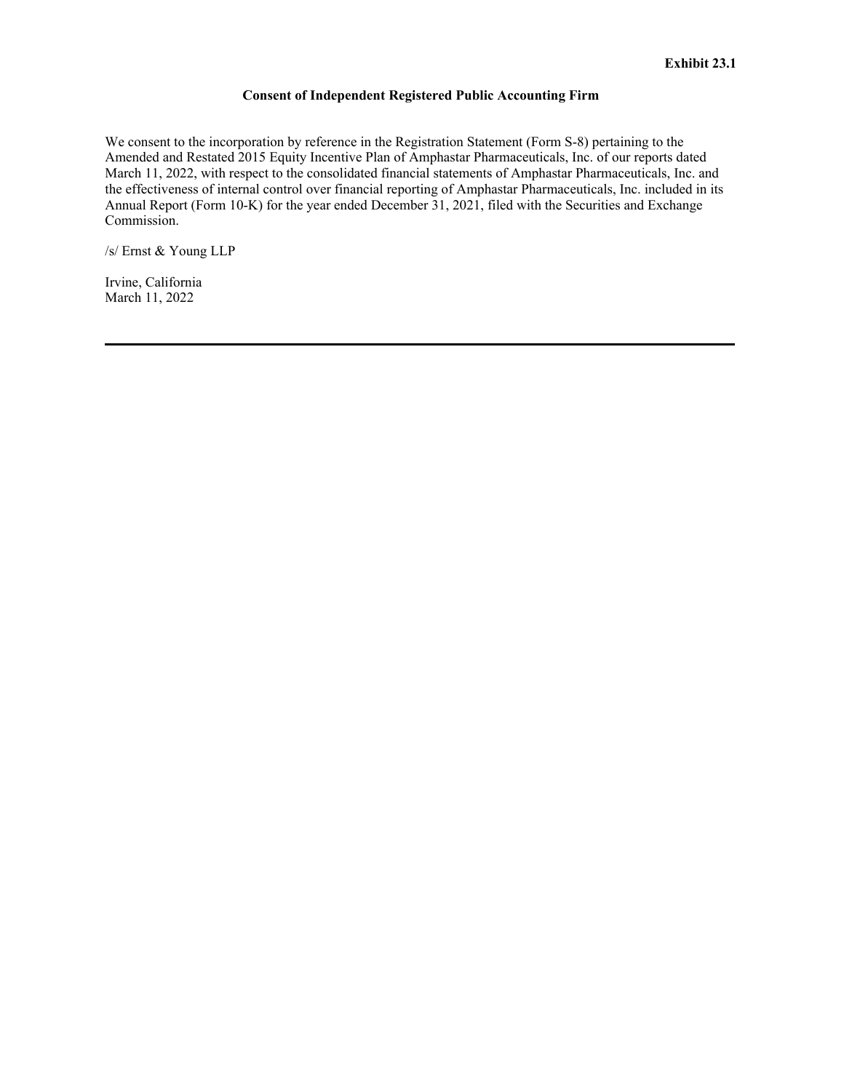## **Consent of Independent Registered Public Accounting Firm**

<span id="page-10-0"></span>We consent to the incorporation by reference in the Registration Statement (Form S-8) pertaining to the Amended and Restated 2015 Equity Incentive Plan of Amphastar Pharmaceuticals, Inc. of our reports dated March 11, 2022, with respect to the consolidated financial statements of Amphastar Pharmaceuticals, Inc. and the effectiveness of internal control over financial reporting of Amphastar Pharmaceuticals, Inc. included in its Annual Report (Form 10-K) for the year ended December 31, 2021, filed with the Securities and Exchange Commission.

/s/ Ernst & Young LLP

Irvine, California March 11, 2022